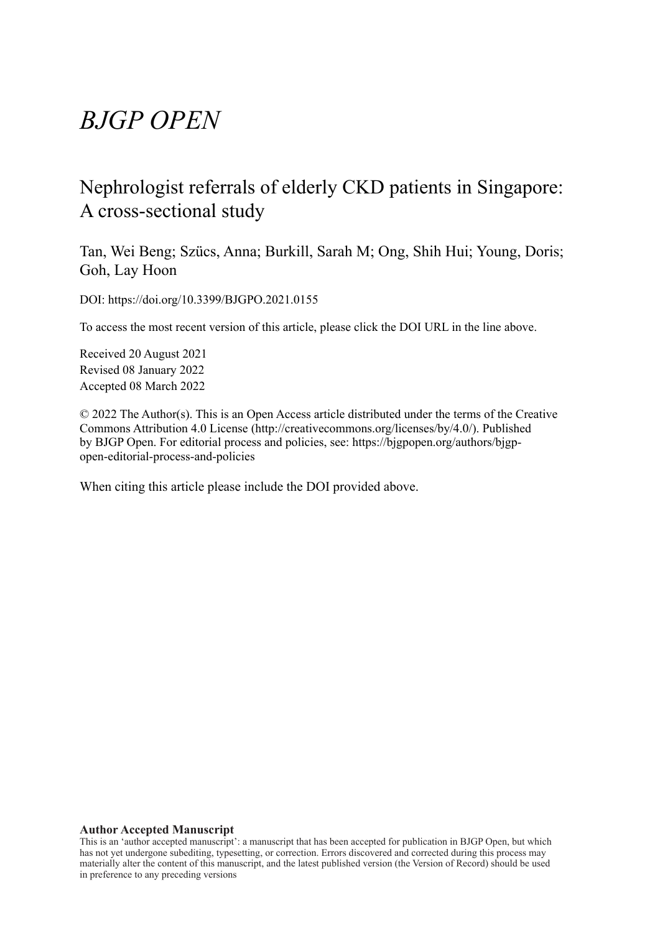# *BJGP OPEN*

# Nephrologist referrals of elderly CKD patients in Singapore: A cross-sectional study

Tan, Wei Beng; Szücs, Anna; Burkill, Sarah M; Ong, Shih Hui; Young, Doris; Goh, Lay Hoon

DOI: https://doi.org/10.3399/BJGPO.2021.0155

To access the most recent version of this article, please click the DOI URL in the line above.

Received 20 August 2021 Revised 08 January 2022 Accepted 08 March 2022

© 2022 The Author(s). This is an Open Access article distributed under the terms of the Creative Commons Attribution 4.0 License (http://creativecommons.org/licenses/by/4.0/). Published by BJGP Open. For editorial process and policies, see: https://bjgpopen.org/authors/bjgpopen-editorial-process-and-policies

When citing this article please include the DOI provided above.

#### **Author Accepted Manuscript**

This is an 'author accepted manuscript': a manuscript that has been accepted for publication in BJGP Open, but which has not yet undergone subediting, typesetting, or correction. Errors discovered and corrected during this process may materially alter the content of this manuscript, and the latest published version (the Version of Record) should be used in preference to any preceding versions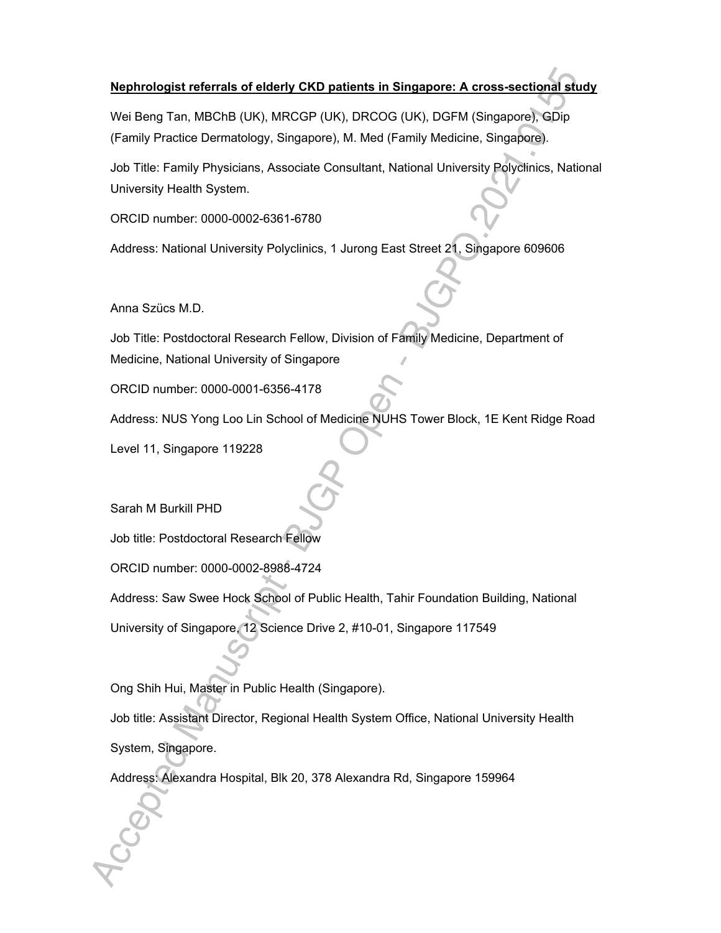# **Nephrologist referrals of elderly CKD patients in Singapore: A cross-sectional study**

Wei Beng Tan, MBChB (UK), MRCGP (UK), DRCOG (UK), DGFM (Singapore), GDip (Family Practice Dermatology, Singapore), M. Med (Family Medicine, Singapore).

Job Title: Family Physicians, Associate Consultant, National University Polyclinics, National University Health System.

ORCID number: 0000-0002-6361-6780

Address: National University Polyclinics, 1 Jurong East Street 21, Singapore 609606

Anna Szücs M.D.

Job Title: Postdoctoral Research Fellow, Division of Family Medicine, Department of Medicine, National University of Singapore

ORCID number: 0000-0001-6356-4178

Address: NUS Yong Loo Lin School of Medicine NUHS Tower Block, 1E Kent Ridge Road

Level 11, Singapore 119228

Sarah M Burkill PHD

Job title: Postdoctoral Research Fellow

ORCID number: 0000-0002-8988-4724

Address: Saw Swee Hock School of Public Health, Tahir Foundation Building, National

University of Singapore, 12 Science Drive 2, #10-01, Singapore 117549

Ong Shih Hui, Master in Public Health (Singapore).

Job title: Assistant Director, Regional Health System Office, National University Health System, Singapore.

Address: Alexandra Hospital, Blk 20, 378 Alexandra Rd, Singapore 159964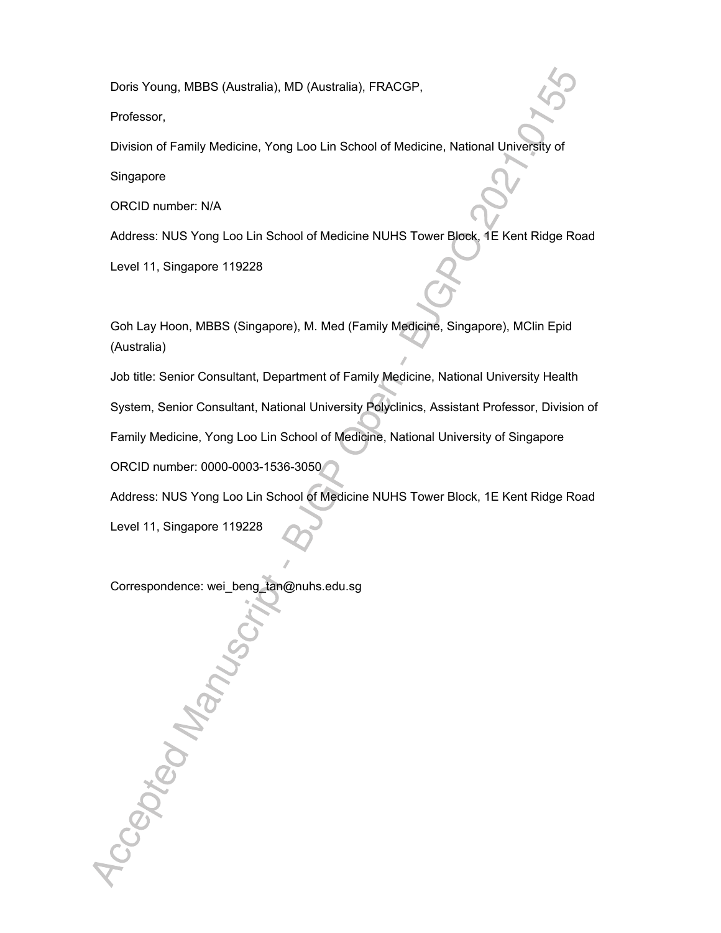Doris Young, MBBS (Australia), MD (Australia), FRACGP,

Professor,

Division of Family Medicine, Yong Loo Lin School of Medicine, National University of

Singapore

ORCID number: N/A

Address: NUS Yong Loo Lin School of Medicine NUHS Tower Block, 1E Kent Ridge Road

Level 11, Singapore 119228

Goh Lay Hoon, MBBS (Singapore), M. Med (Family Medicine, Singapore), MClin Epid (Australia)

Job title: Senior Consultant, Department of Family Medicine, National University Health System, Senior Consultant, National University Polyclinics, Assistant Professor, Division of

Family Medicine, Yong Loo Lin School of Medicine, National University of Singapore

ORCID number: 0000-0003-1536-3050

Address: NUS Yong Loo Lin School of Medicine NUHS Tower Block, 1E Kent Ridge Road

Level 11, Singapore 119228

Accepted Manus

Correspondence: wei\_beng\_tan@nuhs.edu.sg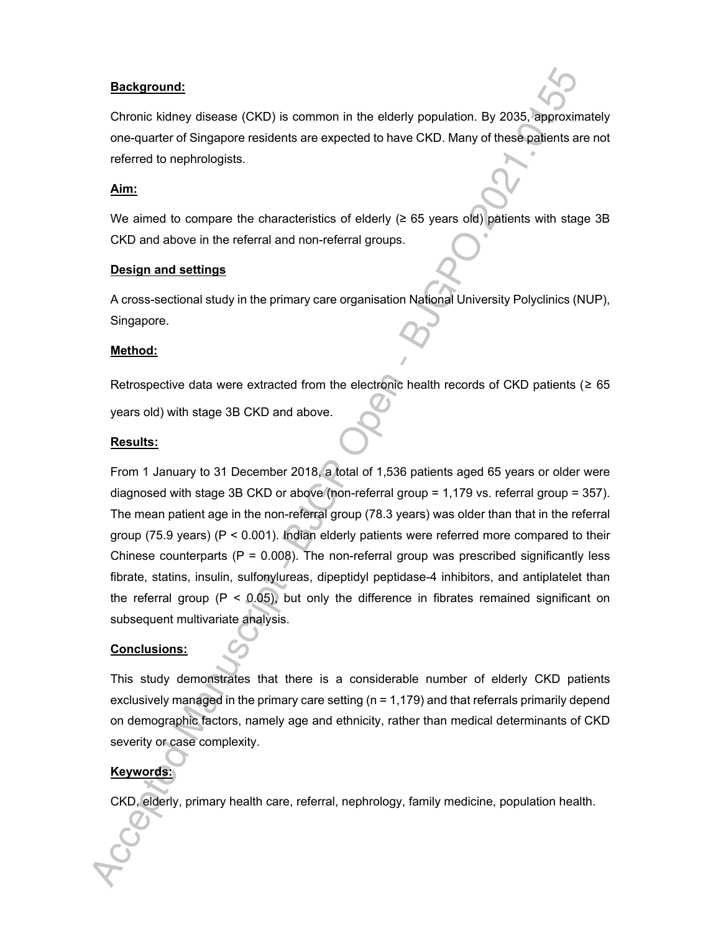## **Background:**

Chronic kidney disease (CKD) is common in the elderly population. By 2035, approximately one-quarter of Singapore residents are expected to have CKD. Many of these patients are not referred to nephrologists.

#### **Aim:**

We aimed to compare the characteristics of elderly ( $\geq$  65 years old) patients with stage 3B CKD and above in the referral and non-referral groups.

#### **Design and settings**

A cross-sectional study in the primary care organisation National University Polyclinics (NUP), Singapore.

#### **Method:**

Retrospective data were extracted from the electronic health records of CKD patients ( $\geq 65$ )

years old) with stage 3B CKD and above.

#### **Results:**

From 1 January to 31 December 2018, a total of 1,536 patients aged 65 years or older were diagnosed with stage 3B CKD or above (non-referral group = 1,179 vs. referral group = 357). The mean patient age in the non-referral group (78.3 years) was older than that in the referral group (75.9 years) (P < 0.001). Indian elderly patients were referred more compared to their Chinese counterparts ( $P = 0.008$ ). The non-referral group was prescribed significantly less fibrate, statins, insulin, sulfonylureas, dipeptidyl peptidase-4 inhibitors, and antiplatelet than the referral group ( $P < 0.05$ ), but only the difference in fibrates remained significant on subsequent multivariate analysis.

#### **Conclusions:**

This study demonstrates that there is a considerable number of elderly CKD patients exclusively managed in the primary care setting  $(n = 1,179)$  and that referrals primarily depend on demographic factors, namely age and ethnicity, rather than medical determinants of CKD severity or case complexity.

# **Keywords:**

CKD, elderly, primary health care, referral, nephrology, family medicine, population health.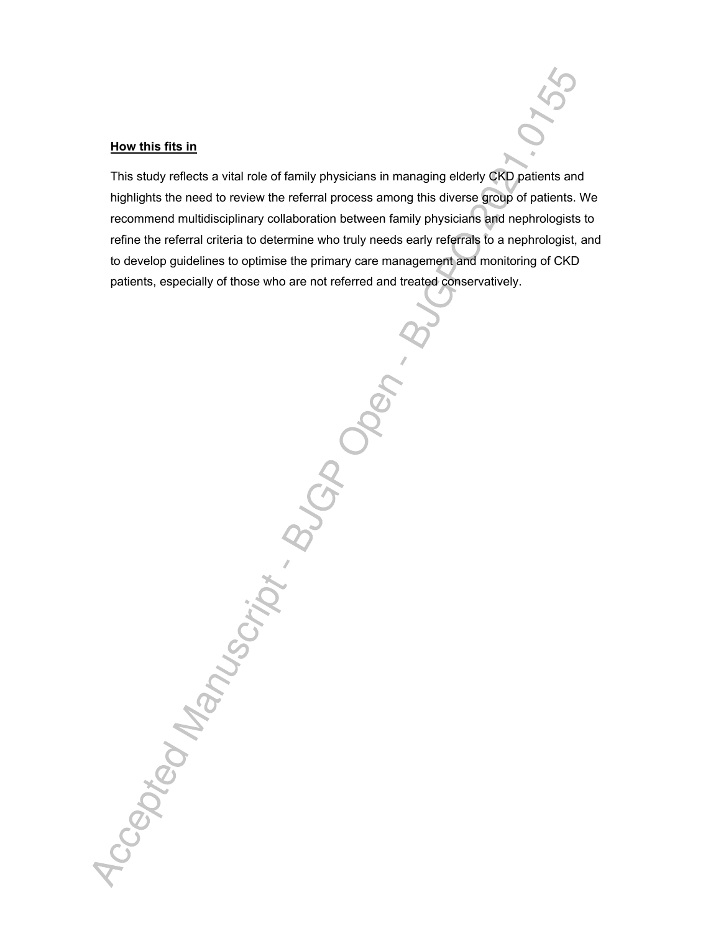#### **How this fits in**

This study reflects a vital role of family physicians in managing elderly CKD patients and highlights the need to review the referral process among this diverse group of patients. We recommend multidisciplinary collaboration between family physicians and nephrologists to refine the referral criteria to determine who truly needs early referrals to a nephrologist, and to develop guidelines to optimise the primary care management and monitoring of CKD patients, especially of those who are not referred and treated conservatively.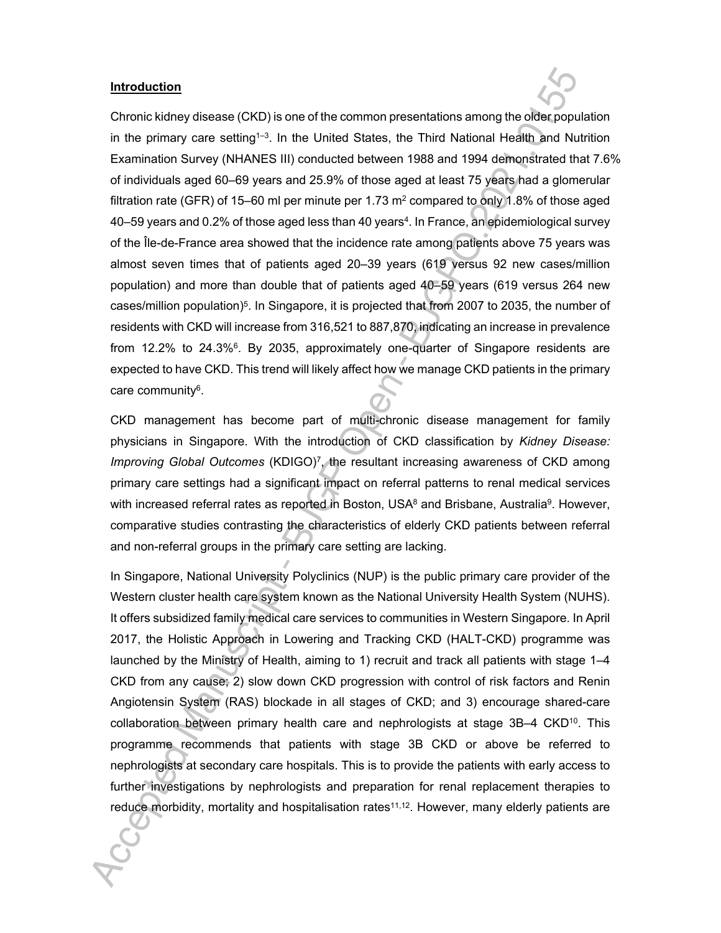#### **Introduction**

Chronic kidney disease (CKD) is one of the common presentations among the older population in the primary care setting<sup>1-3</sup>. In the United States, the Third National Health and Nutrition Examination Survey (NHANES III) conducted between 1988 and 1994 demonstrated that 7.6% of individuals aged 60–69 years and 25.9% of those aged at least 75 years had a glomerular filtration rate (GFR) of 15–60 ml per minute per 1.73  $\text{m}^2$  compared to only 1.8% of those aged 40–59 years and 0.2% of those aged less than 40 years<sup>4</sup>. In France, an epidemiological survey of the Île-de-France area showed that the incidence rate among patients above 75 years was almost seven times that of patients aged 20–39 years (619 versus 92 new cases/million population) and more than double that of patients aged 40–59 years (619 versus 264 new cases/million population)<sup>5</sup> . In Singapore, it is projected that from 2007 to 2035, the number of residents with CKD will increase from 316,521 to 887,870, indicating an increase in prevalence from 12.2% to 24.3%<sup>6</sup>. By 2035, approximately one-quarter of Singapore residents are expected to have CKD. This trend will likely affect how we manage CKD patients in the primary care community<sup>6</sup>.

CKD management has become part of multi-chronic disease management for family physicians in Singapore. With the introduction of CKD classification by *Kidney Disease: Improving Global Outcomes* (KDIGO)<sup>7</sup> , the resultant increasing awareness of CKD among primary care settings had a significant impact on referral patterns to renal medical services with increased referral rates as reported in Boston, USA<sup>8</sup> and Brisbane, Australia<sup>9</sup>. However, comparative studies contrasting the characteristics of elderly CKD patients between referral and non-referral groups in the primary care setting are lacking.

In Singapore, National University Polyclinics (NUP) is the public primary care provider of the Western cluster health care system known as the National University Health System (NUHS). It offers subsidized family medical care services to communities in Western Singapore. In April 2017, the Holistic Approach in Lowering and Tracking CKD (HALT-CKD) programme was launched by the Ministry of Health, aiming to 1) recruit and track all patients with stage 1–4 CKD from any cause; 2) slow down CKD progression with control of risk factors and Renin Angiotensin System (RAS) blockade in all stages of CKD; and 3) encourage shared-care collaboration between primary health care and nephrologists at stage 3B–4 CKD<sup>10</sup>. This programme recommends that patients with stage 3B CKD or above be referred to nephrologists at secondary care hospitals. This is to provide the patients with early access to further investigations by nephrologists and preparation for renal replacement therapies to reduce morbidity, mortality and hospitalisation rates<sup>11,12</sup>. However, many elderly patients are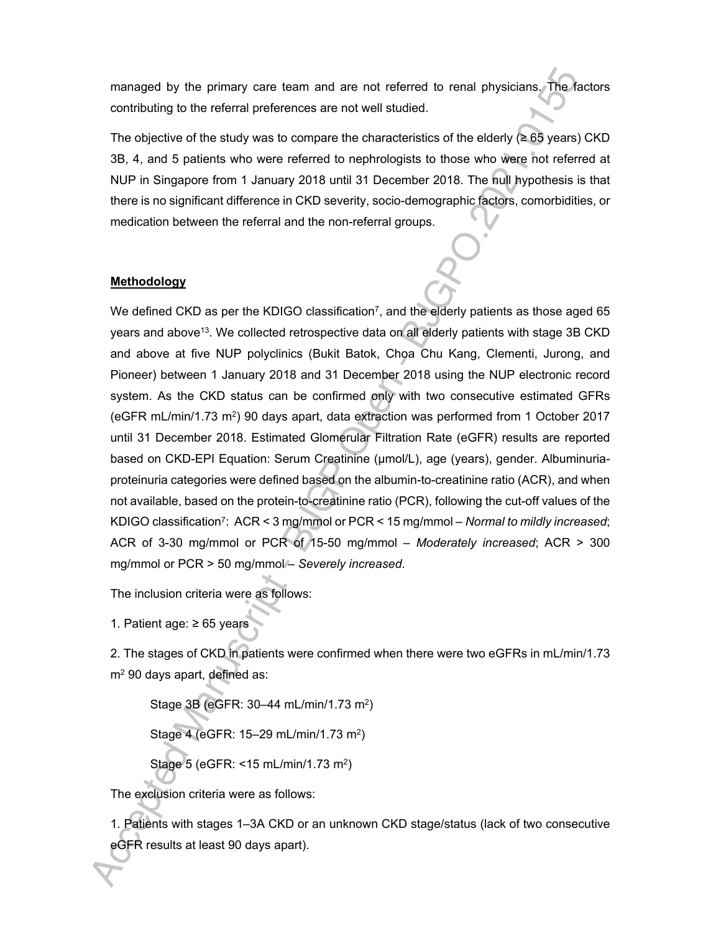managed by the primary care team and are not referred to renal physicians. The factors contributing to the referral preferences are not well studied.

The objective of the study was to compare the characteristics of the elderly ( $\geq 65$  years) CKD 3B, 4, and 5 patients who were referred to nephrologists to those who were not referred at NUP in Singapore from 1 January 2018 until 31 December 2018. The null hypothesis is that there is no significant difference in CKD severity, socio-demographic factors, comorbidities, or medication between the referral and the non-referral groups.

## **Methodology**

We defined CKD as per the KDIGO classification<sup>7</sup>, and the elderly patients as those aged 65 years and above<sup>13</sup>. We collected retrospective data on all elderly patients with stage 3B CKD and above at five NUP polyclinics (Bukit Batok, Choa Chu Kang, Clementi, Jurong, and Pioneer) between 1 January 2018 and 31 December 2018 using the NUP electronic record system. As the CKD status can be confirmed only with two consecutive estimated GFRs (eGFR mL/min/1.73 m<sup>2</sup> ) 90 days apart, data extraction was performed from 1 October 2017 until 31 December 2018. Estimated Glomerular Filtration Rate (eGFR) results are reported based on CKD-EPI Equation: Serum Creatinine (µmol/L), age (years), gender. Albuminuriaproteinuria categories were defined based on the albumin-to-creatinine ratio (ACR), and when not available, based on the protein-to-creatinine ratio (PCR), following the cut-off values of the KDIGO classification<sup>7</sup> : ACR < 3 mg/mmol or PCR < 15 mg/mmol – *Normal to mildly increased*; ACR of 3-30 mg/mmol or PCR of 15-50 mg/mmol – *Moderately increased*; ACR > 300 mg/mmol or PCR > 50 mg/mmol/- Severely increased.

The inclusion criteria were as follows:

1. Patient age: ≥ 65 years

2. The stages of CKD in patients were confirmed when there were two eGFRs in mL/min/1.73 m<sup>2</sup> 90 days apart, defined as:

Stage 3B (eGFR: 30–44 mL/min/1.73 m<sup>2</sup>)

Stage 4 (eGFR: 15–29 mL/min/1.73 m<sup>2</sup> )

Stage 5 (eGFR: <15 mL/min/1.73 m<sup>2</sup>)

The exclusion criteria were as follows:

1. Patients with stages 1–3A CKD or an unknown CKD stage/status (lack of two consecutive eGFR results at least 90 days apart).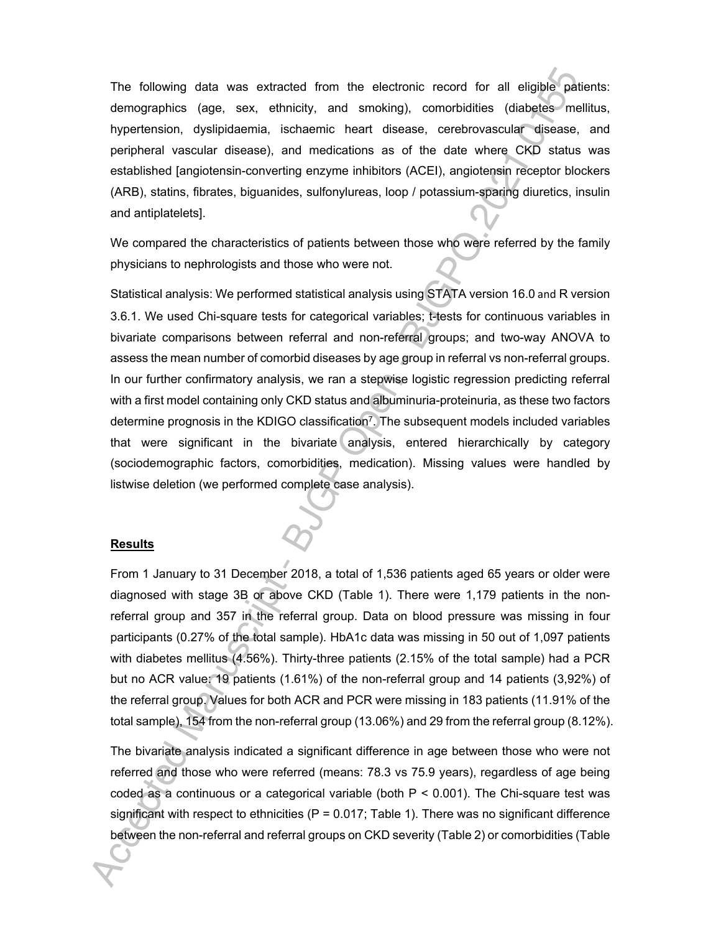The following data was extracted from the electronic record for all eligible patients: demographics (age, sex, ethnicity, and smoking), comorbidities (diabetes mellitus, hypertension, dyslipidaemia, ischaemic heart disease, cerebrovascular disease, and peripheral vascular disease), and medications as of the date where CKD status was established [angiotensin-converting enzyme inhibitors (ACEI), angiotensin receptor blockers (ARB), statins, fibrates, biguanides, sulfonylureas, loop / potassium-sparing diuretics, insulin and antiplatelets].

We compared the characteristics of patients between those who were referred by the family physicians to nephrologists and those who were not.

Statistical analysis: We performed statistical analysis using STATA version 16.0 and R version 3.6.1. We used Chi-square tests for categorical variables; t-tests for continuous variables in bivariate comparisons between referral and non-referral groups; and two-way ANOVA to assess the mean number of comorbid diseases by age group in referral vs non-referral groups. In our further confirmatory analysis, we ran a stepwise logistic regression predicting referral with a first model containing only CKD status and albuminuria-proteinuria, as these two factors determine prognosis in the KDIGO classification<sup>7</sup> . The subsequent models included variables that were significant in the bivariate analysis, entered hierarchically by category (sociodemographic factors, comorbidities, medication). Missing values were handled by listwise deletion (we performed complete case analysis).

#### **Results**

From 1 January to 31 December 2018, a total of 1,536 patients aged 65 years or older were diagnosed with stage 3B or above CKD (Table 1). There were 1,179 patients in the nonreferral group and 357 in the referral group. Data on blood pressure was missing in four participants (0.27% of the total sample). HbA1c data was missing in 50 out of 1,097 patients with diabetes mellitus (4.56%). Thirty-three patients (2.15% of the total sample) had a PCR but no ACR value: 19 patients (1.61%) of the non-referral group and 14 patients (3,92%) of the referral group. Values for both ACR and PCR were missing in 183 patients (11.91% of the total sample), 154 from the non-referral group (13.06%) and 29 from the referral group (8.12%).

The bivariate analysis indicated a significant difference in age between those who were not referred and those who were referred (means: 78.3 vs 75.9 years), regardless of age being coded as a continuous or a categorical variable (both  $P < 0.001$ ). The Chi-square test was significant with respect to ethnicities  $(P = 0.017;$  Table 1). There was no significant difference between the non-referral and referral groups on CKD severity (Table 2) or comorbidities (Table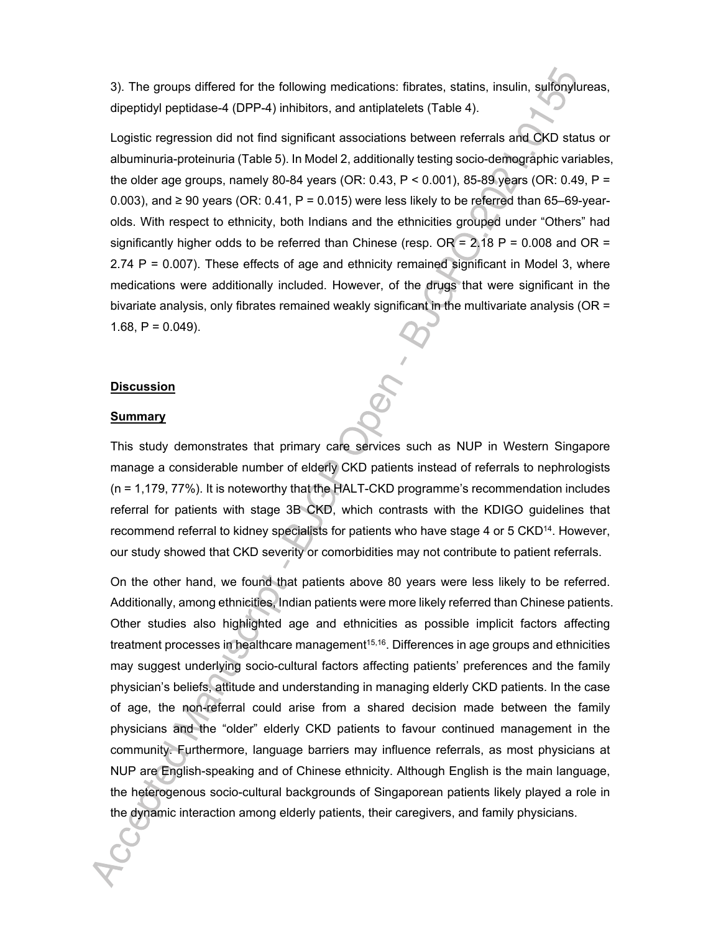3). The groups differed for the following medications: fibrates, statins, insulin, sulfonylureas, dipeptidyl peptidase-4 (DPP-4) inhibitors, and antiplatelets (Table 4).

Logistic regression did not find significant associations between referrals and CKD status or albuminuria-proteinuria (Table 5). In Model 2, additionally testing socio-demographic variables, the older age groups, namely 80-84 years (OR: 0.43,  $P < 0.001$ ), 85-89 years (OR: 0.49, P = 0.003), and ≥ 90 years (OR: 0.41, P = 0.015) were less likely to be referred than 65–69-yearolds. With respect to ethnicity, both Indians and the ethnicities grouped under "Others" had significantly higher odds to be referred than Chinese (resp.  $OR = 2.18$  P = 0.008 and OR = 2.74 P = 0.007). These effects of age and ethnicity remained significant in Model 3, where medications were additionally included. However, of the drugs that were significant in the bivariate analysis, only fibrates remained weakly significant in the multivariate analysis (OR = 1.68,  $P = 0.049$ ).

#### **Discussion**

#### **Summary**

This study demonstrates that primary care services such as NUP in Western Singapore manage a considerable number of elderly CKD patients instead of referrals to nephrologists (n = 1,179, 77%). It is noteworthy that the HALT-CKD programme's recommendation includes referral for patients with stage 3B CKD, which contrasts with the KDIGO guidelines that recommend referral to kidney specialists for patients who have stage 4 or 5 CKD<sup>14</sup>. However, our study showed that CKD severity or comorbidities may not contribute to patient referrals.

On the other hand, we found that patients above 80 years were less likely to be referred. Additionally, among ethnicities, Indian patients were more likely referred than Chinese patients. Other studies also highlighted age and ethnicities as possible implicit factors affecting treatment processes in healthcare management<sup>15,16</sup>. Differences in age groups and ethnicities may suggest underlying socio-cultural factors affecting patients' preferences and the family physician's beliefs, attitude and understanding in managing elderly CKD patients. In the case of age, the non-referral could arise from a shared decision made between the family physicians and the "older" elderly CKD patients to favour continued management in the community. Furthermore, language barriers may influence referrals, as most physicians at NUP are English-speaking and of Chinese ethnicity. Although English is the main language, the heterogenous socio-cultural backgrounds of Singaporean patients likely played a role in the dynamic interaction among elderly patients, their caregivers, and family physicians.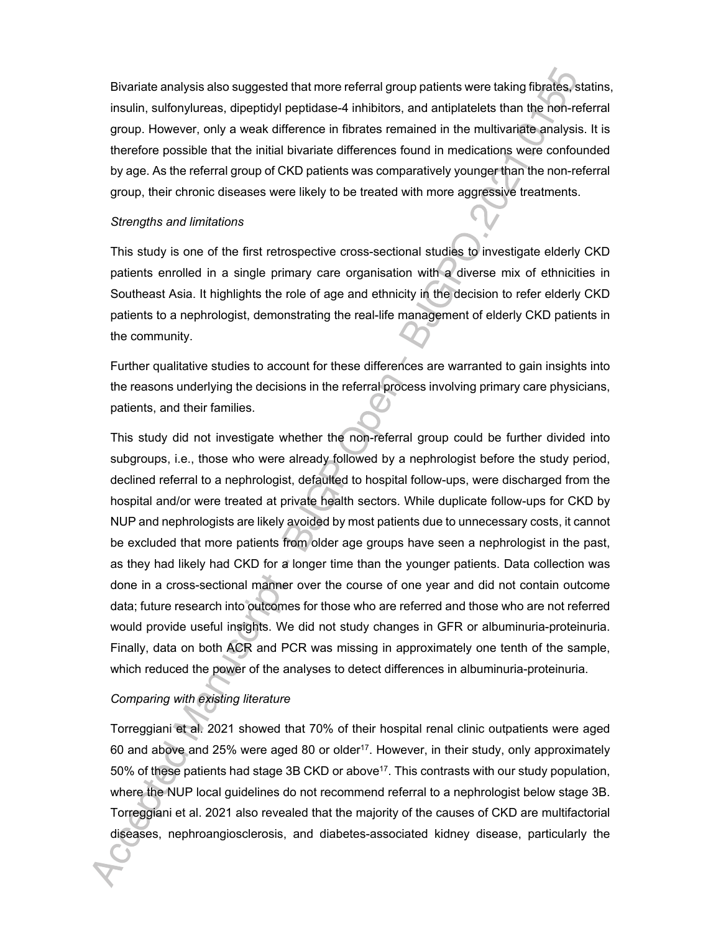Bivariate analysis also suggested that more referral group patients were taking fibrates, statins, insulin, sulfonylureas, dipeptidyl peptidase-4 inhibitors, and antiplatelets than the non-referral group. However, only a weak difference in fibrates remained in the multivariate analysis. It is therefore possible that the initial bivariate differences found in medications were confounded by age. As the referral group of CKD patients was comparatively younger than the non-referral group, their chronic diseases were likely to be treated with more aggressive treatments.

#### *Strengths and limitations*

This study is one of the first retrospective cross-sectional studies to investigate elderly CKD patients enrolled in a single primary care organisation with a diverse mix of ethnicities in Southeast Asia. It highlights the role of age and ethnicity in the decision to refer elderly CKD patients to a nephrologist, demonstrating the real-life management of elderly CKD patients in the community.

Further qualitative studies to account for these differences are warranted to gain insights into the reasons underlying the decisions in the referral process involving primary care physicians, patients, and their families.

This study did not investigate whether the non-referral group could be further divided into subgroups, i.e., those who were already followed by a nephrologist before the study period, declined referral to a nephrologist, defaulted to hospital follow-ups, were discharged from the hospital and/or were treated at private health sectors. While duplicate follow-ups for CKD by NUP and nephrologists are likely avoided by most patients due to unnecessary costs, it cannot be excluded that more patients from older age groups have seen a nephrologist in the past, as they had likely had CKD for a longer time than the younger patients. Data collection was done in a cross-sectional manner over the course of one year and did not contain outcome data; future research into outcomes for those who are referred and those who are not referred would provide useful insights. We did not study changes in GFR or albuminuria-proteinuria. Finally, data on both ACR and PCR was missing in approximately one tenth of the sample, which reduced the power of the analyses to detect differences in albuminuria-proteinuria.

# *Comparing with existing literature*

Torreggiani et al. 2021 showed that 70% of their hospital renal clinic outpatients were aged 60 and above and 25% were aged 80 or older<sup>17</sup>. However, in their study, only approximately 50% of these patients had stage 3B CKD or above<sup>17</sup>. This contrasts with our study population, where the NUP local guidelines do not recommend referral to a nephrologist below stage 3B. Torreggiani et al. 2021 also revealed that the majority of the causes of CKD are multifactorial diseases, nephroangiosclerosis, and diabetes-associated kidney disease, particularly the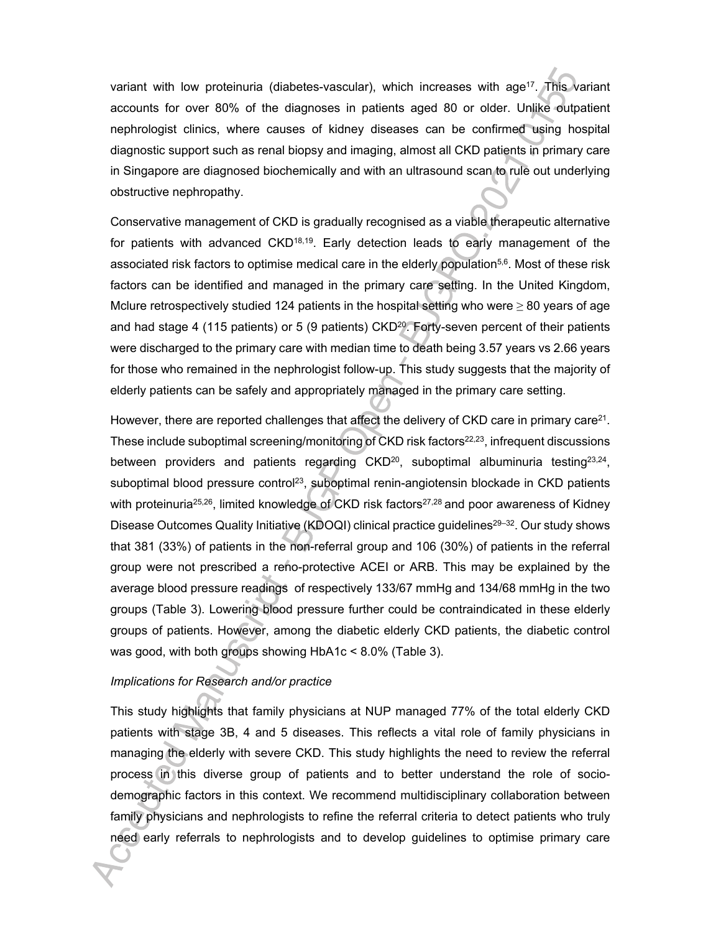variant with low proteinuria (diabetes-vascular), which increases with age<sup>17</sup>. This variant accounts for over 80% of the diagnoses in patients aged 80 or older. Unlike outpatient nephrologist clinics, where causes of kidney diseases can be confirmed using hospital diagnostic support such as renal biopsy and imaging, almost all CKD patients in primary care in Singapore are diagnosed biochemically and with an ultrasound scan to rule out underlying obstructive nephropathy.

Conservative management of CKD is gradually recognised as a viable therapeutic alternative for patients with advanced  $CKD<sup>18,19</sup>$ . Early detection leads to early management of the associated risk factors to optimise medical care in the elderly population5,6. Most of these risk factors can be identified and managed in the primary care setting. In the United Kingdom, Mclure retrospectively studied 124 patients in the hospital setting who were  $\geq 80$  years of age and had stage 4 (115 patients) or 5 (9 patients) CKD<sup>20</sup>. Forty-seven percent of their patients were discharged to the primary care with median time to death being 3.57 years vs 2.66 years for those who remained in the nephrologist follow-up. This study suggests that the majority of elderly patients can be safely and appropriately managed in the primary care setting.

However, there are reported challenges that affect the delivery of CKD care in primary care<sup>21</sup>. These include suboptimal screening/monitoring of CKD risk factors<sup>22,23</sup>, infrequent discussions between providers and patients regarding CKD<sup>20</sup>, suboptimal albuminuria testing<sup>23,24</sup>, suboptimal blood pressure control<sup>23</sup>, suboptimal renin-angiotensin blockade in CKD patients with proteinuria<sup>25,26</sup>, limited knowledge of CKD risk factors<sup>27,28</sup> and poor awareness of Kidney Disease Outcomes Quality Initiative (KDOQI) clinical practice guidelines<sup>29–32</sup>. Our study shows that 381 (33%) of patients in the non-referral group and 106 (30%) of patients in the referral group were not prescribed a reno-protective ACEI or ARB. This may be explained by the average blood pressure readings of respectively 133/67 mmHg and 134/68 mmHg in the two groups (Table 3). Lowering blood pressure further could be contraindicated in these elderly groups of patients. However, among the diabetic elderly CKD patients, the diabetic control was good, with both groups showing HbA1c < 8.0% (Table 3).

#### *Implications for Research and/or practice*

This study highlights that family physicians at NUP managed 77% of the total elderly CKD patients with stage 3B, 4 and 5 diseases. This reflects a vital role of family physicians in managing the elderly with severe CKD. This study highlights the need to review the referral process in this diverse group of patients and to better understand the role of sociodemographic factors in this context. We recommend multidisciplinary collaboration between family physicians and nephrologists to refine the referral criteria to detect patients who truly need early referrals to nephrologists and to develop guidelines to optimise primary care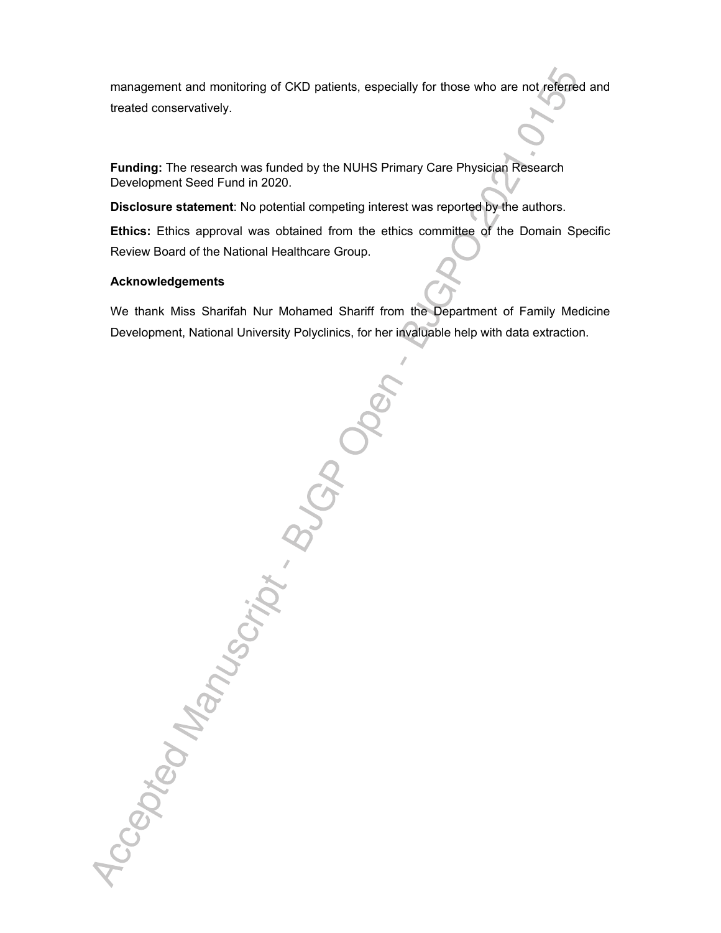management and monitoring of CKD patients, especially for those who are not referred and treated conservatively.

**Funding:** The research was funded by the NUHS Primary Care Physician Research Development Seed Fund in 2020.

**Disclosure statement**: No potential competing interest was reported by the authors.

**Ethics:** Ethics approval was obtained from the ethics committee of the Domain Specific Review Board of the National Healthcare Group.

#### **Acknowledgements**

We thank Miss Sharifah Nur Mohamed Shariff from the Department of Family Medicine Development, National University Polyclinics, for her invaluable help with data extraction.

Accepted Manuscript . BUGDO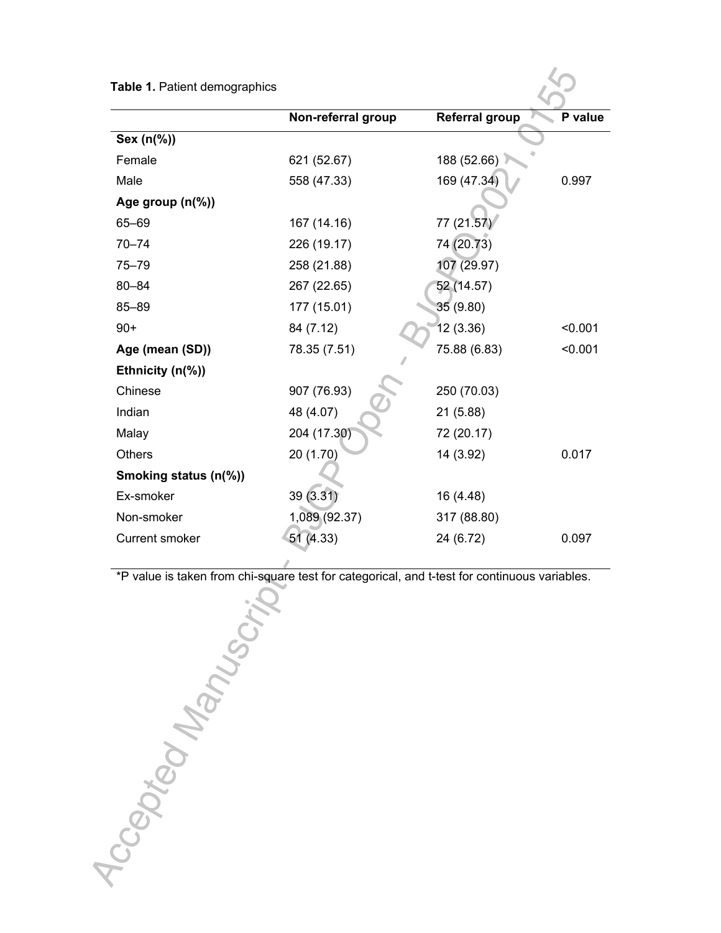| Table 1. Patient demographics |                    |                       |         |
|-------------------------------|--------------------|-----------------------|---------|
|                               | Non-referral group | <b>Referral group</b> | P value |
| Sex (n(%))                    |                    |                       |         |
| Female                        | 621 (52.67)        | 188 (52.66)           |         |
| Male                          | 558 (47.33)        | 169 (47.34)           | 0.997   |
| Age group $(n\%)$             |                    |                       |         |
| 65-69                         | 167 (14.16)        | 77 (21.57)            |         |
| $70 - 74$                     | 226 (19.17)        | 74 (20.73)            |         |
| 75-79                         | 258 (21.88)        | 107 (29.97)           |         |
| $80 - 84$                     | 267 (22.65)        | 52 (14.57)            |         |
| 85-89                         | 177 (15.01)        | 35 (9.80)             |         |
| $90+$                         | 84 (7.12)          | 12(3.36)              | < 0.001 |
| Age (mean (SD))               | 78.35 (7.51)       | 75.88 (6.83)          | < 0.001 |
| Ethnicity $(n\%)$             |                    |                       |         |
| Chinese                       | 907 (76.93)        | 250 (70.03)           |         |
| Indian                        | 48 (4.07)          | 21 (5.88)             |         |
| Malay                         | 204 (17.30)        | 72 (20.17)            |         |
| <b>Others</b>                 | 20 (1.70)          | 14 (3.92)             | 0.017   |
| Smoking status (n(%))         |                    |                       |         |
| Ex-smoker                     | 39 (3.31)          | 16 (4.48)             |         |
| Non-smoker                    | 1,089 (92.37)      | 317 (88.80)           |         |
| <b>Current smoker</b>         | 51 (4.33)          | 24 (6.72)             | 0.097   |

\*P value is taken from chi-square test for categorical, and t-test for continuous variables.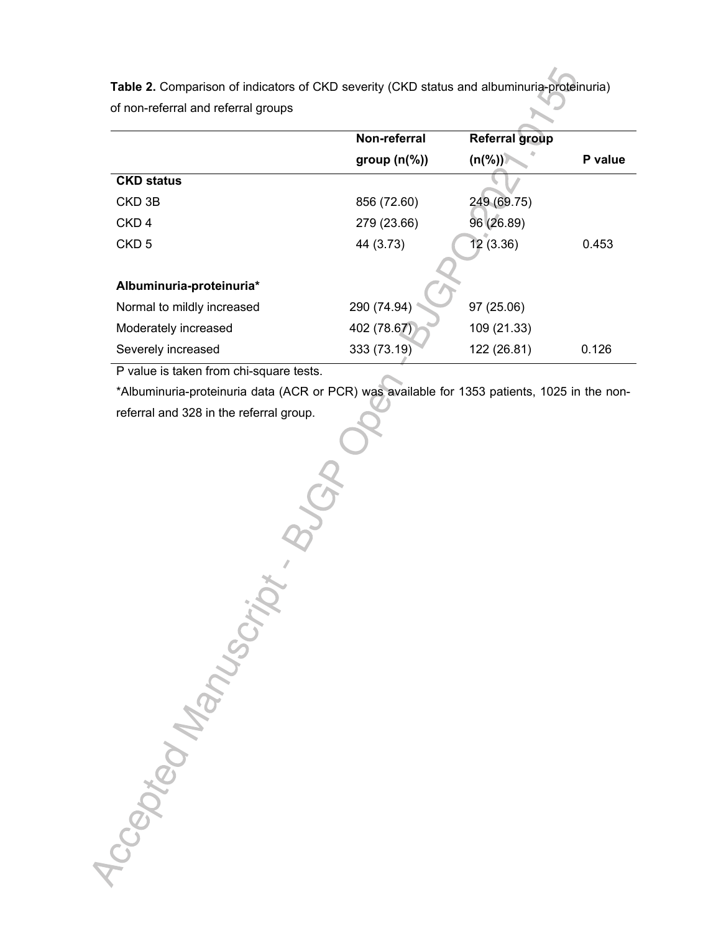**Table 2.** Comparison of indicators of CKD severity (CKD status and albuminuria-proteinuria) of non-referral and referral groups

|                            | Non-referral             | <b>Referral group</b> |         |
|----------------------------|--------------------------|-----------------------|---------|
|                            | group $(n\mathcal{C}_0)$ | $(n(\%))$             | P value |
| <b>CKD status</b>          |                          |                       |         |
| CKD <sub>3B</sub>          | 856 (72.60)              | 249 (69.75)           |         |
| CKD <sub>4</sub>           | 279 (23.66)              | 96 (26.89)            |         |
| CKD <sub>5</sub>           | 44 (3.73)                | 12(3.36)              | 0.453   |
|                            |                          |                       |         |
| Albuminuria-proteinuria*   |                          |                       |         |
| Normal to mildly increased | 290 (74.94)              | 97 (25.06)            |         |
| Moderately increased       | 402 (78.67)              | 109 (21.33)           |         |
| Severely increased         | 333 (73.19)              | 122 (26.81)           | 0.126   |
|                            |                          |                       |         |

P value is taken from chi-square tests.

\*Albuminuria-proteinuria data (ACR or PCR) was available for 1353 patients, 1025 in the nonreferral and 328 in the referral group.

Accepted Manuscript Buck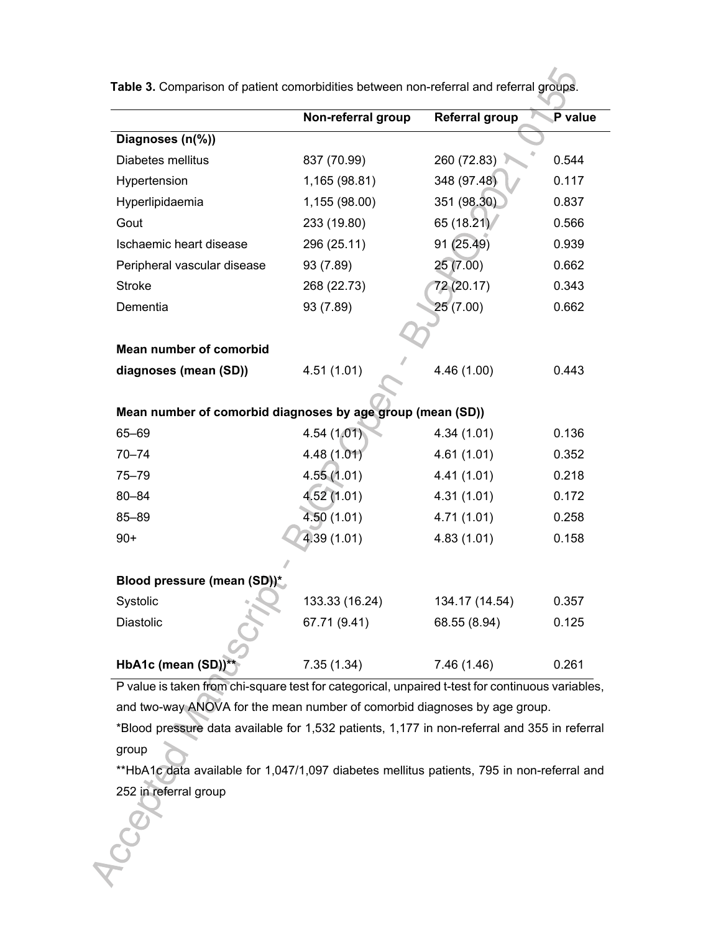|                                                            | Non-referral group           | <b>Referral group</b> | P value |
|------------------------------------------------------------|------------------------------|-----------------------|---------|
| Diagnoses (n(%))                                           |                              |                       |         |
| Diabetes mellitus                                          | 260 (72.83)<br>837 (70.99)   |                       | 0.544   |
| Hypertension                                               | 1,165 (98.81)                | 348 (97.48)           | 0.117   |
| Hyperlipidaemia                                            | 351 (98.30)<br>1,155 (98.00) |                       | 0.837   |
| Gout                                                       | 65 (18.21)<br>233 (19.80)    |                       | 0.566   |
| Ischaemic heart disease                                    | 91 (25.49)<br>296 (25.11)    |                       | 0.939   |
| Peripheral vascular disease                                | 25 (7.00)<br>93 (7.89)       |                       | 0.662   |
| <b>Stroke</b>                                              | 268 (22.73)                  | 72 (20.17)            | 0.343   |
| Dementia                                                   | 93 (7.89)                    | 25 (7.00)             | 0.662   |
|                                                            |                              |                       |         |
| Mean number of comorbid                                    |                              |                       |         |
| diagnoses (mean (SD))                                      | 4.51 (1.01)                  | 4.46 (1.00)           | 0.443   |
|                                                            |                              |                       |         |
| Mean number of comorbid diagnoses by age group (mean (SD)) |                              |                       |         |
| 65-69                                                      | 4.54(1.01)                   | 4.34(1.01)            | 0.136   |
| $70 - 74$                                                  | 4.48(1.01)                   | 4.61(1.01)            | 0.352   |
| 75-79                                                      | 4.55(1.01)                   | 4.41(1.01)            | 0.218   |
| $80 - 84$                                                  | 4.52(1.01)                   | 4.31(1.01)            | 0.172   |
| 85-89                                                      | 4.50(1.01)                   | 4.71(1.01)            | 0.258   |
| $90+$                                                      | 4.39 (1.01)                  | 4.83(1.01)            | 0.158   |
|                                                            |                              |                       |         |
| Blood pressure (mean (SD))*                                |                              |                       |         |
| Systolic                                                   | 133.33 (16.24)               | 134.17 (14.54)        | 0.357   |
| <b>Diastolic</b>                                           | 67.71 (9.41)                 | 68.55 (8.94)          | 0.125   |
|                                                            |                              |                       |         |
| HbA1c (mean (SD)) <sup>*</sup>                             | 7.35(1.34)                   | 7.46 (1.46)           | 0.261   |

**Table 3.** Comparison of patient comorbidities between non-referral and referral groups.

P value is taken from chi-square test for categorical, unpaired t-test for continuous variables, and two-way ANOVA for the mean number of comorbid diagnoses by age group.

\*Blood pressure data available for 1,532 patients, 1,177 in non-referral and 355 in referral group

\*\*HbA1c data available for 1,047/1,097 diabetes mellitus patients, 795 in non-referral and 252 in referral group

**CCCC**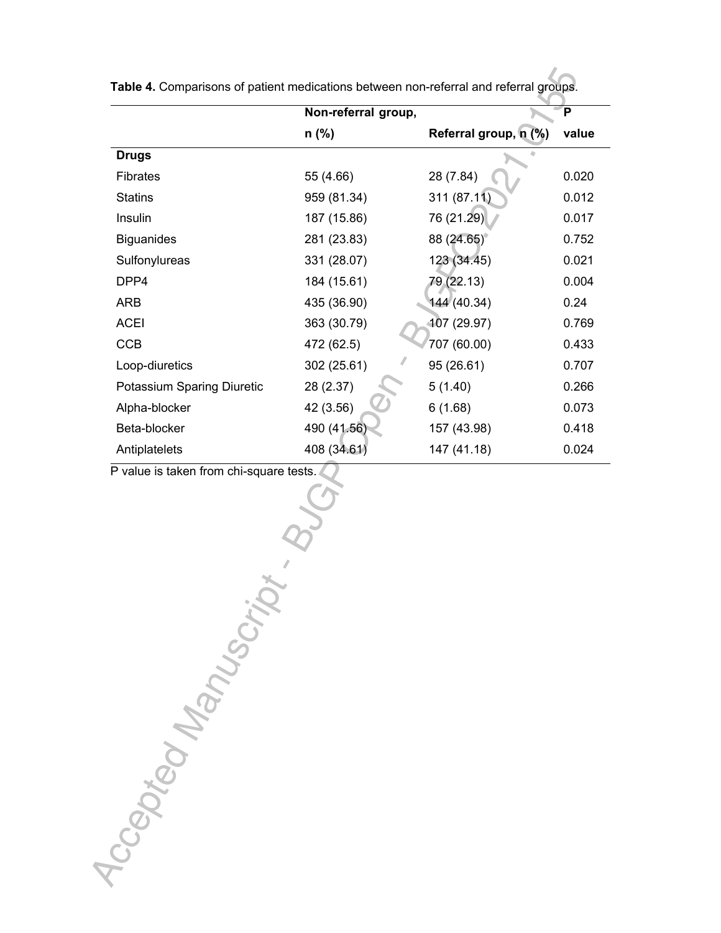|                            | Non-referral group, |                       | P     |
|----------------------------|---------------------|-----------------------|-------|
|                            | $n$ (%)             | Referral group, n (%) | value |
| <b>Drugs</b>               |                     |                       |       |
| <b>Fibrates</b>            | 55 (4.66)           | 28 (7.84)             | 0.020 |
| <b>Statins</b>             | 959 (81.34)         | 311 (87.11)           | 0.012 |
| Insulin                    | 187 (15.86)         | 76 (21.29)            | 0.017 |
| <b>Biguanides</b>          | 281 (23.83)         | 88 (24.65)            | 0.752 |
| Sulfonylureas              | 331 (28.07)         | 123 (34.45)           | 0.021 |
| DPP4                       | 184 (15.61)         | 79 (22.13)            | 0.004 |
| ARB                        | 435 (36.90)         | 144(40.34)            | 0.24  |
| <b>ACEI</b>                | 363 (30.79)         | 407 (29.97)           | 0.769 |
| <b>CCB</b>                 | 472 (62.5)          | 707 (60.00)           | 0.433 |
| Loop-diuretics             | 302 (25.61)         | 95 (26.61)            | 0.707 |
| Potassium Sparing Diuretic | 28 (2.37)           | 5(1.40)               | 0.266 |
| Alpha-blocker              | 42 (3.56)           | 6(1.68)               | 0.073 |
| Beta-blocker               | 490 (41.56)         | 157 (43.98)           | 0.418 |
| Antiplatelets              | 408 (34.61)         | 147 (41.18)           | 0.024 |

**Table 4.** Comparisons of patient medications between non-referral and referral groups.

P value is taken from chi-square tests.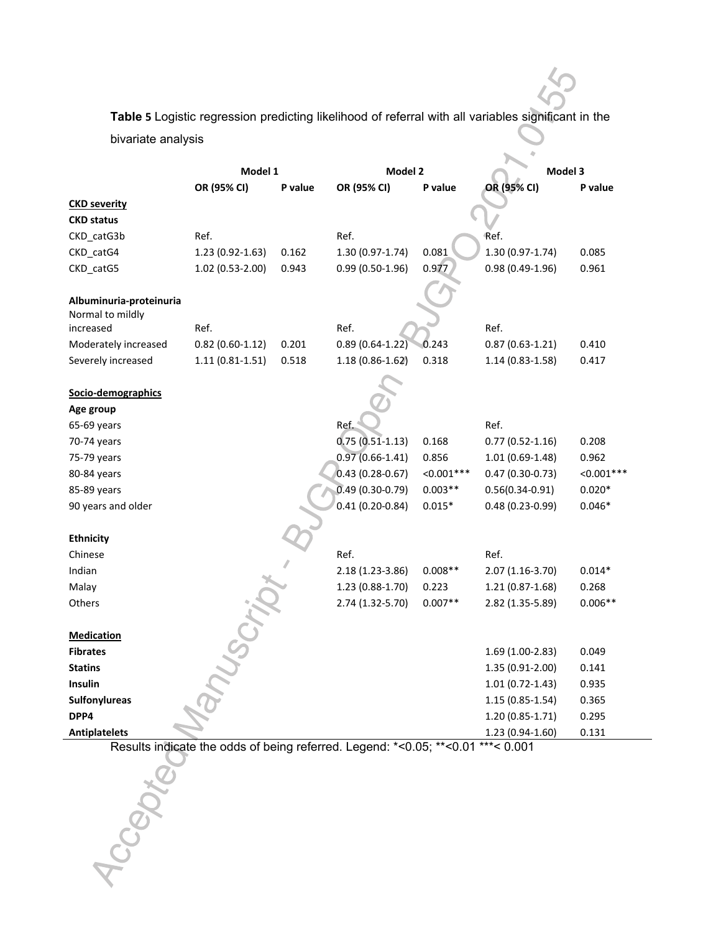**Table 5** Logistic regression predicting likelihood of referral with all variables significant in the bivariate analysis

|                                             | Model 1             |         | Model 2             |              | Model 3             |              |
|---------------------------------------------|---------------------|---------|---------------------|--------------|---------------------|--------------|
|                                             | OR (95% CI)         | P value | OR (95% CI)         | P value      | OR (95% CI)         | P value      |
| <b>CKD severity</b>                         |                     |         |                     |              |                     |              |
| <b>CKD status</b>                           |                     |         |                     |              |                     |              |
| CKD_catG3b                                  | Ref.                |         | Ref.                |              | Ref.                |              |
| CKD_catG4                                   | $1.23(0.92 - 1.63)$ | 0.162   | 1.30 (0.97-1.74)    | 0.081        | 1.30 (0.97-1.74)    | 0.085        |
| CKD_catG5                                   | $1.02(0.53-2.00)$   | 0.943   | $0.99(0.50-1.96)$   | 0.977        | $0.98(0.49-1.96)$   | 0.961        |
|                                             |                     |         |                     |              |                     |              |
| Albuminuria-proteinuria<br>Normal to mildly |                     |         |                     |              |                     |              |
| increased                                   | Ref.                |         | Ref.                |              | Ref.                |              |
| Moderately increased                        | $0.82(0.60-1.12)$   | 0.201   | $0.89(0.64-1.22)$   | 0.243        | $0.87(0.63 - 1.21)$ | 0.410        |
| Severely increased                          | $1.11(0.81 - 1.51)$ | 0.518   | $1.18(0.86 - 1.62)$ | 0.318        | $1.14(0.83-1.58)$   | 0.417        |
|                                             |                     |         |                     |              |                     |              |
| Socio-demographics                          |                     |         |                     |              |                     |              |
| Age group                                   |                     |         |                     |              |                     |              |
| 65-69 years                                 |                     |         | Ref.                |              | Ref.                |              |
| 70-74 years                                 |                     |         | $0.75(0.51-1.13)$   | 0.168        | $0.77(0.52 - 1.16)$ | 0.208        |
| 75-79 years                                 |                     |         | $0.97(0.66-1.41)$   | 0.856        | $1.01(0.69-1.48)$   | 0.962        |
| 80-84 years                                 |                     |         | $0.43(0.28-0.67)$   | $< 0.001***$ | $0.47(0.30-0.73)$   | $< 0.001***$ |
| 85-89 years                                 |                     |         | $0.49(0.30-0.79)$   | $0.003**$    | $0.56(0.34 - 0.91)$ | $0.020*$     |
| 90 years and older                          |                     |         | $0.41(0.20-0.84)$   | $0.015*$     | $0.48(0.23-0.99)$   | $0.046*$     |
| <b>Ethnicity</b>                            |                     |         |                     |              |                     |              |
| Chinese                                     |                     |         | Ref.                |              | Ref.                |              |
| Indian                                      |                     |         | 2.18 (1.23-3.86)    | $0.008**$    | 2.07 (1.16-3.70)    | $0.014*$     |
| Malay                                       |                     |         | $1.23(0.88-1.70)$   | 0.223        | $1.21(0.87-1.68)$   | 0.268        |
| Others                                      |                     |         | 2.74 (1.32-5.70)    | $0.007**$    | 2.82 (1.35-5.89)    | $0.006**$    |
|                                             |                     |         |                     |              |                     |              |
| <b>Medication</b>                           |                     |         |                     |              |                     |              |
| <b>Fibrates</b>                             |                     |         |                     |              | 1.69 (1.00-2.83)    | 0.049        |
| <b>Statins</b>                              |                     |         |                     |              | 1.35 (0.91-2.00)    | 0.141        |
| <b>Insulin</b>                              |                     |         |                     |              | $1.01(0.72 - 1.43)$ | 0.935        |
| Sulfonylureas                               |                     |         |                     |              | $1.15(0.85-1.54)$   | 0.365        |
| DPP4                                        |                     |         |                     |              | 1.20 (0.85-1.71)    | 0.295        |
| <b>Antiplatelets</b>                        |                     |         |                     |              | 1.23 (0.94-1.60)    | 0.131        |

Results indicate the odds of being referred. Legend: \*<0.05; \*\*<0.01 \*\*\*< 0.001

Accepter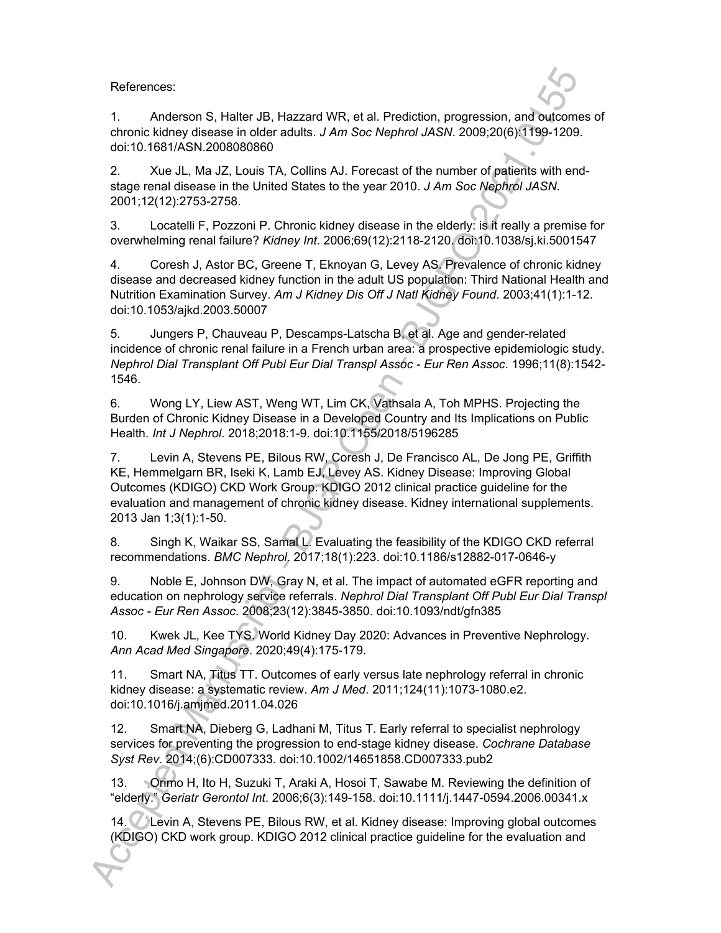References:

1. Anderson S, Halter JB, Hazzard WR, et al. Prediction, progression, and outcomes of chronic kidney disease in older adults. *J Am Soc Nephrol JASN*. 2009;20(6):1199-1209. doi:10.1681/ASN.2008080860

2. Xue JL, Ma JZ, Louis TA, Collins AJ. Forecast of the number of patients with endstage renal disease in the United States to the year 2010. *J Am Soc Nephrol JASN*. 2001;12(12):2753-2758.

3. Locatelli F, Pozzoni P. Chronic kidney disease in the elderly: is it really a premise for overwhelming renal failure? *Kidney Int*. 2006;69(12):2118-2120. doi:10.1038/sj.ki.5001547

4. Coresh J, Astor BC, Greene T, Eknoyan G, Levey AS. Prevalence of chronic kidney disease and decreased kidney function in the adult US population: Third National Health and Nutrition Examination Survey. *Am J Kidney Dis Off J Natl Kidney Found*. 2003;41(1):1-12. doi:10.1053/ajkd.2003.50007

5. Jungers P, Chauveau P, Descamps-Latscha B, et al. Age and gender-related incidence of chronic renal failure in a French urban area: a prospective epidemiologic study. *Nephrol Dial Transplant Off Publ Eur Dial Transpl Assoc - Eur Ren Assoc*. 1996;11(8):1542- 1546.

6. Wong LY, Liew AST, Weng WT, Lim CK, Vathsala A, Toh MPHS. Projecting the Burden of Chronic Kidney Disease in a Developed Country and Its Implications on Public Health. *Int J Nephrol*. 2018;2018:1-9. doi:10.1155/2018/5196285

7. Levin A, Stevens PE, Bilous RW, Coresh J, De Francisco AL, De Jong PE, Griffith KE, Hemmelgarn BR, Iseki K, Lamb EJ, Levey AS. Kidney Disease: Improving Global Outcomes (KDIGO) CKD Work Group. KDIGO 2012 clinical practice guideline for the evaluation and management of chronic kidney disease. Kidney international supplements. 2013 Jan 1;3(1):1-50.

8. Singh K, Waikar SS, Samal L. Evaluating the feasibility of the KDIGO CKD referral recommendations. *BMC Nephrol*. 2017;18(1):223. doi:10.1186/s12882-017-0646-y

9. Noble E, Johnson DW, Gray N, et al. The impact of automated eGFR reporting and education on nephrology service referrals. *Nephrol Dial Transplant Off Publ Eur Dial Transpl Assoc - Eur Ren Assoc*. 2008;23(12):3845-3850. doi:10.1093/ndt/gfn385

10. Kwek JL, Kee TYS. World Kidney Day 2020: Advances in Preventive Nephrology. *Ann Acad Med Singapore*. 2020;49(4):175-179.

11. Smart NA, Titus TT. Outcomes of early versus late nephrology referral in chronic kidney disease: a systematic review. *Am J Med*. 2011;124(11):1073-1080.e2. doi:10.1016/j.amjmed.2011.04.026

12. Smart NA, Dieberg G, Ladhani M, Titus T. Early referral to specialist nephrology services for preventing the progression to end-stage kidney disease. *Cochrane Database Syst Rev*. 2014;(6):CD007333. doi:10.1002/14651858.CD007333.pub2

13. Orimo H, Ito H, Suzuki T, Araki A, Hosoi T, Sawabe M. Reviewing the definition of "elderly." *Geriatr Gerontol Int*. 2006;6(3):149-158. doi:10.1111/j.1447-0594.2006.00341.x

14. Levin A, Stevens PE, Bilous RW, et al. Kidney disease: Improving global outcomes (KDIGO) CKD work group. KDIGO 2012 clinical practice guideline for the evaluation and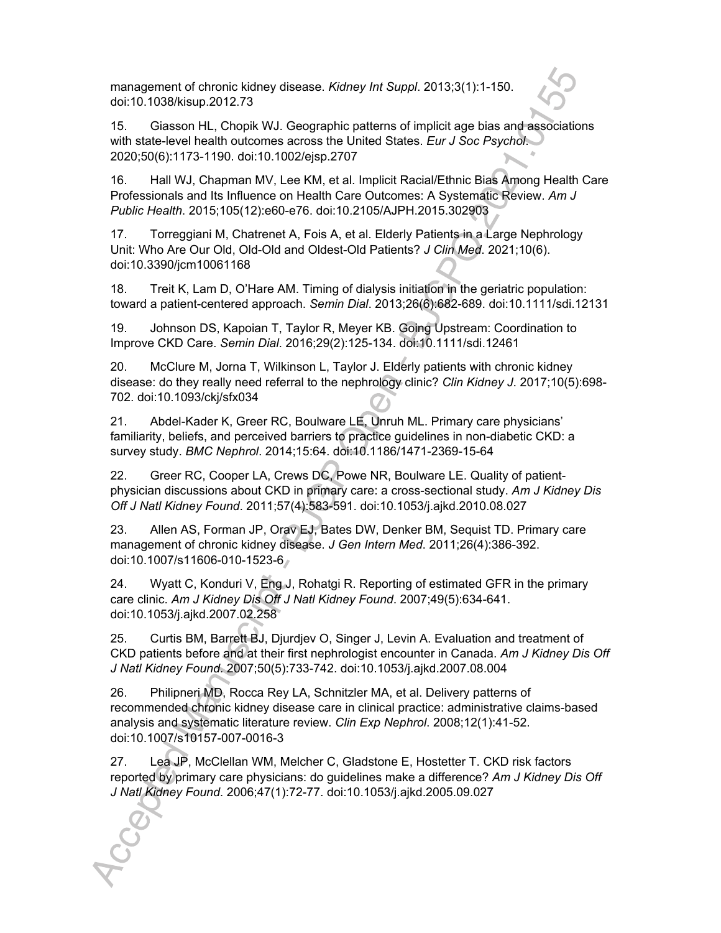management of chronic kidney disease. *Kidney Int Suppl*. 2013;3(1):1-150. doi:10.1038/kisup.2012.73

15. Giasson HL, Chopik WJ. Geographic patterns of implicit age bias and associations with state-level health outcomes across the United States. *Eur J Soc Psychol*. 2020;50(6):1173-1190. doi:10.1002/ejsp.2707

16. Hall WJ, Chapman MV, Lee KM, et al. Implicit Racial/Ethnic Bias Among Health Care Professionals and Its Influence on Health Care Outcomes: A Systematic Review. *Am J Public Health*. 2015;105(12):e60-e76. doi:10.2105/AJPH.2015.302903

17. Torreggiani M, Chatrenet A, Fois A, et al. Elderly Patients in a Large Nephrology Unit: Who Are Our Old, Old-Old and Oldest-Old Patients? *J Clin Med*. 2021;10(6). doi:10.3390/jcm10061168

18. Treit K, Lam D, O'Hare AM. Timing of dialysis initiation in the geriatric population: toward a patient-centered approach. *Semin Dial*. 2013;26(6):682-689. doi:10.1111/sdi.12131

19. Johnson DS, Kapoian T, Taylor R, Meyer KB. Going Upstream: Coordination to Improve CKD Care. *Semin Dial*. 2016;29(2):125-134. doi:10.1111/sdi.12461

20. McClure M, Jorna T, Wilkinson L, Taylor J. Elderly patients with chronic kidney disease: do they really need referral to the nephrology clinic? *Clin Kidney J*. 2017;10(5):698- 702. doi:10.1093/ckj/sfx034

21. Abdel-Kader K, Greer RC, Boulware LE, Unruh ML. Primary care physicians' familiarity, beliefs, and perceived barriers to practice guidelines in non-diabetic CKD: a survey study. *BMC Nephrol*. 2014;15:64. doi:10.1186/1471-2369-15-64

22. Greer RC, Cooper LA, Crews DC, Powe NR, Boulware LE. Quality of patientphysician discussions about CKD in primary care: a cross-sectional study. *Am J Kidney Dis Off J Natl Kidney Found*. 2011;57(4):583-591. doi:10.1053/j.ajkd.2010.08.027

23. Allen AS, Forman JP, Orav EJ, Bates DW, Denker BM, Sequist TD. Primary care management of chronic kidney disease. *J Gen Intern Med*. 2011;26(4):386-392. doi:10.1007/s11606-010-1523-6

24. Wyatt C, Konduri V, Eng J, Rohatgi R. Reporting of estimated GFR in the primary care clinic. *Am J Kidney Dis Off J Natl Kidney Found*. 2007;49(5):634-641. doi:10.1053/j.ajkd.2007.02.258

25. Curtis BM, Barrett BJ, Djurdjev O, Singer J, Levin A. Evaluation and treatment of CKD patients before and at their first nephrologist encounter in Canada. *Am J Kidney Dis Off J Natl Kidney Found*. 2007;50(5):733-742. doi:10.1053/j.ajkd.2007.08.004

26. Philipneri MD, Rocca Rey LA, Schnitzler MA, et al. Delivery patterns of recommended chronic kidney disease care in clinical practice: administrative claims-based analysis and systematic literature review. *Clin Exp Nephrol*. 2008;12(1):41-52. doi:10.1007/s10157-007-0016-3

27. Lea JP, McClellan WM, Melcher C, Gladstone E, Hostetter T. CKD risk factors reported by primary care physicians: do guidelines make a difference? *Am J Kidney Dis Off J Natl Kidney Found*. 2006;47(1):72-77. doi:10.1053/j.ajkd.2005.09.027